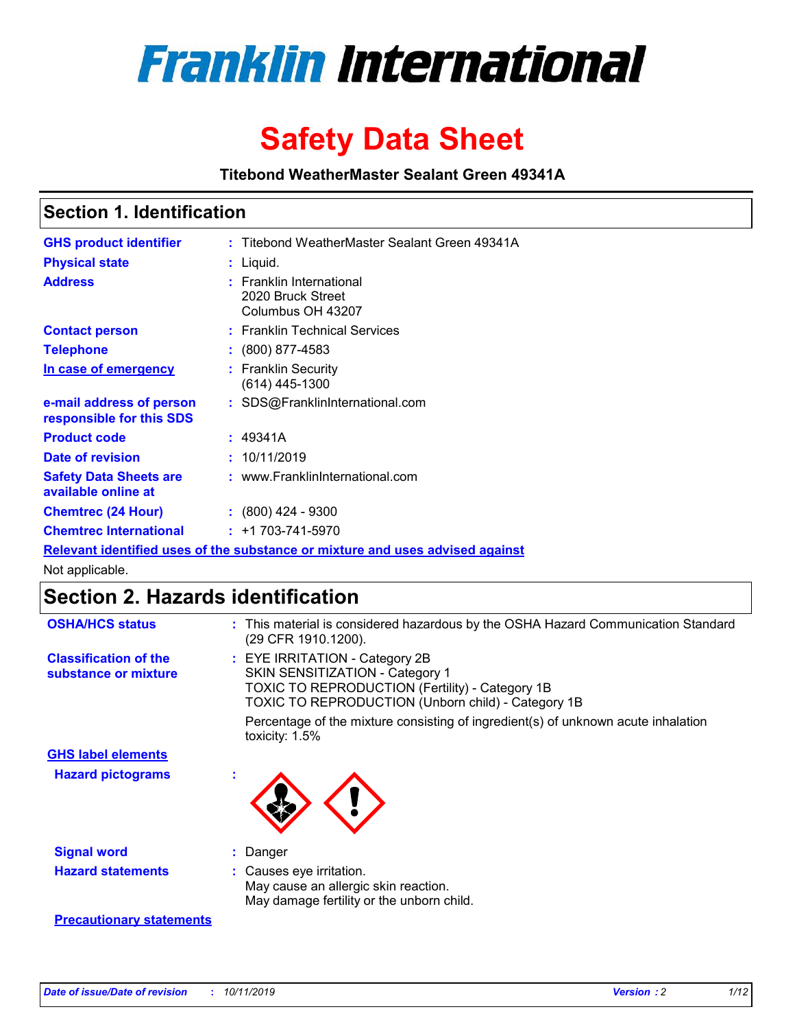

# **Safety Data Sheet**

**Titebond WeatherMaster Sealant Green 49341A**

### **Section 1. Identification**

| <b>GHS product identifier</b>                        | : Titebond WeatherMaster Sealant Green 49341A                                 |
|------------------------------------------------------|-------------------------------------------------------------------------------|
| <b>Physical state</b>                                | : Liquid.                                                                     |
| <b>Address</b>                                       | : Franklin International<br>2020 Bruck Street<br>Columbus OH 43207            |
| <b>Contact person</b>                                | : Franklin Technical Services                                                 |
| <b>Telephone</b>                                     | $\colon$ (800) 877-4583                                                       |
| <u>In case of emergency</u>                          | : Franklin Security<br>$(614)$ 445-1300                                       |
| e-mail address of person<br>responsible for this SDS | : SDS@FranklinInternational.com                                               |
| <b>Product code</b>                                  | : 49341A                                                                      |
| Date of revision                                     | : 10/11/2019                                                                  |
| <b>Safety Data Sheets are</b><br>available online at | : www.FranklinInternational.com                                               |
| <b>Chemtrec (24 Hour)</b>                            | $\div$ (800) 424 - 9300                                                       |
| <b>Chemtrec International</b>                        | $: +1703 - 741 - 5970$                                                        |
|                                                      | Relevant identified uses of the substance or mixture and uses advised against |

Not applicable.

## **Section 2. Hazards identification**

| <b>OSHA/HCS status</b>                               | : This material is considered hazardous by the OSHA Hazard Communication Standard<br>(29 CFR 1910.1200).                                                                          |
|------------------------------------------------------|-----------------------------------------------------------------------------------------------------------------------------------------------------------------------------------|
| <b>Classification of the</b><br>substance or mixture | : EYE IRRITATION - Category 2B<br>SKIN SENSITIZATION - Category 1<br><b>TOXIC TO REPRODUCTION (Fertility) - Category 1B</b><br>TOXIC TO REPRODUCTION (Unborn child) - Category 1B |
|                                                      | Percentage of the mixture consisting of ingredient(s) of unknown acute inhalation<br>toxicity: $1.5\%$                                                                            |
| <b>GHS label elements</b>                            |                                                                                                                                                                                   |
| <b>Hazard pictograms</b>                             |                                                                                                                                                                                   |
| <b>Signal word</b>                                   | : Danger                                                                                                                                                                          |
| <b>Hazard statements</b>                             | : Causes eye irritation.<br>May cause an allergic skin reaction.<br>May damage fertility or the unborn child.                                                                     |
| <b>Precautionary statements</b>                      |                                                                                                                                                                                   |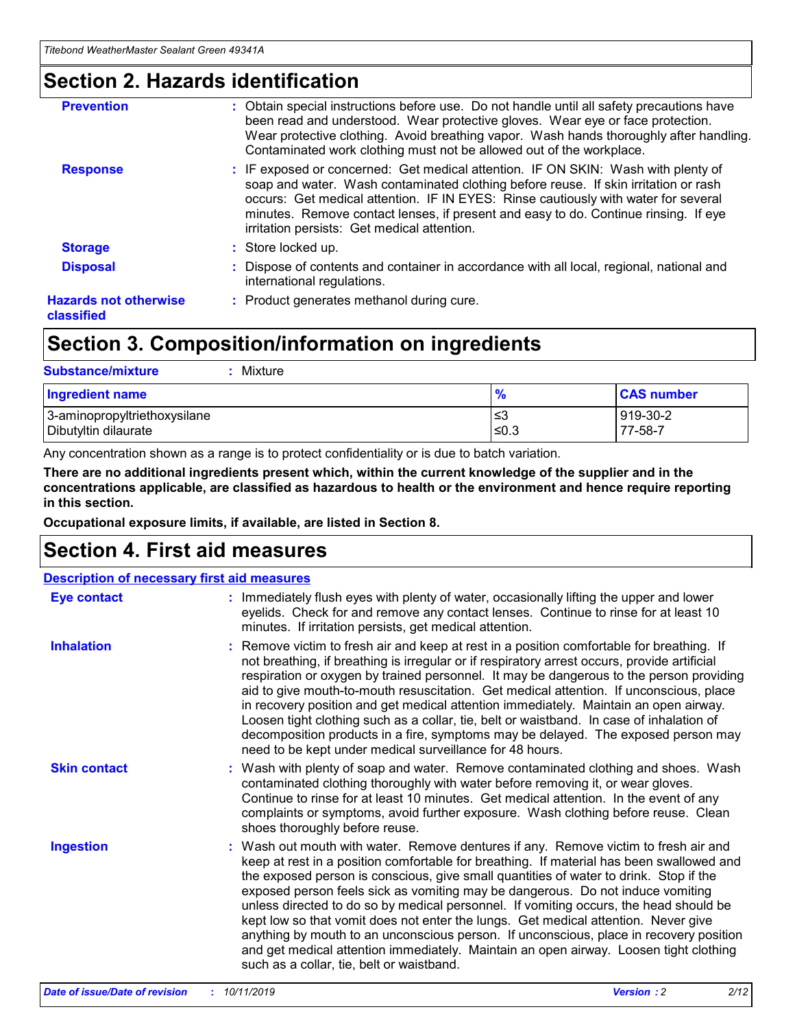### **Section 2. Hazards identification**

| <b>Prevention</b>                          | : Obtain special instructions before use. Do not handle until all safety precautions have<br>been read and understood. Wear protective gloves. Wear eye or face protection.<br>Wear protective clothing. Avoid breathing vapor. Wash hands thoroughly after handling.<br>Contaminated work clothing must not be allowed out of the workplace.                                                        |
|--------------------------------------------|------------------------------------------------------------------------------------------------------------------------------------------------------------------------------------------------------------------------------------------------------------------------------------------------------------------------------------------------------------------------------------------------------|
| <b>Response</b>                            | : IF exposed or concerned: Get medical attention. IF ON SKIN: Wash with plenty of<br>soap and water. Wash contaminated clothing before reuse. If skin irritation or rash<br>occurs: Get medical attention. IF IN EYES: Rinse cautiously with water for several<br>minutes. Remove contact lenses, if present and easy to do. Continue rinsing. If eye<br>irritation persists: Get medical attention. |
| <b>Storage</b>                             | : Store locked up.                                                                                                                                                                                                                                                                                                                                                                                   |
| <b>Disposal</b>                            | : Dispose of contents and container in accordance with all local, regional, national and<br>international regulations.                                                                                                                                                                                                                                                                               |
| <b>Hazards not otherwise</b><br>classified | : Product generates methanol during cure.                                                                                                                                                                                                                                                                                                                                                            |
|                                            |                                                                                                                                                                                                                                                                                                                                                                                                      |

## **Section 3. Composition/information on ingredients**

| <b>Substance/mixture</b><br>Mixture                  |               |                     |
|------------------------------------------------------|---------------|---------------------|
| <b>Ingredient name</b>                               | $\frac{9}{6}$ | <b>CAS number</b>   |
| 3-aminopropyltriethoxysilane<br>Dibutyltin dilaurate | ≤3<br>$≤0.3$  | 919-30-2<br>77-58-7 |

Any concentration shown as a range is to protect confidentiality or is due to batch variation.

**There are no additional ingredients present which, within the current knowledge of the supplier and in the concentrations applicable, are classified as hazardous to health or the environment and hence require reporting in this section.**

**Occupational exposure limits, if available, are listed in Section 8.**

## **Section 4. First aid measures**

| <b>Description of necessary first aid measures</b> |                                                                                                                                                                                                                                                                                                                                                                                                                                                                                                                                                                                                                                                                                                                                                                           |  |  |  |
|----------------------------------------------------|---------------------------------------------------------------------------------------------------------------------------------------------------------------------------------------------------------------------------------------------------------------------------------------------------------------------------------------------------------------------------------------------------------------------------------------------------------------------------------------------------------------------------------------------------------------------------------------------------------------------------------------------------------------------------------------------------------------------------------------------------------------------------|--|--|--|
| <b>Eye contact</b>                                 | : Immediately flush eyes with plenty of water, occasionally lifting the upper and lower<br>eyelids. Check for and remove any contact lenses. Continue to rinse for at least 10<br>minutes. If irritation persists, get medical attention.                                                                                                                                                                                                                                                                                                                                                                                                                                                                                                                                 |  |  |  |
| <b>Inhalation</b>                                  | : Remove victim to fresh air and keep at rest in a position comfortable for breathing. If<br>not breathing, if breathing is irregular or if respiratory arrest occurs, provide artificial<br>respiration or oxygen by trained personnel. It may be dangerous to the person providing<br>aid to give mouth-to-mouth resuscitation. Get medical attention. If unconscious, place<br>in recovery position and get medical attention immediately. Maintain an open airway.<br>Loosen tight clothing such as a collar, tie, belt or waistband. In case of inhalation of<br>decomposition products in a fire, symptoms may be delayed. The exposed person may<br>need to be kept under medical surveillance for 48 hours.                                                       |  |  |  |
| <b>Skin contact</b>                                | : Wash with plenty of soap and water. Remove contaminated clothing and shoes. Wash<br>contaminated clothing thoroughly with water before removing it, or wear gloves.<br>Continue to rinse for at least 10 minutes. Get medical attention. In the event of any<br>complaints or symptoms, avoid further exposure. Wash clothing before reuse. Clean<br>shoes thoroughly before reuse.                                                                                                                                                                                                                                                                                                                                                                                     |  |  |  |
| <b>Ingestion</b>                                   | : Wash out mouth with water. Remove dentures if any. Remove victim to fresh air and<br>keep at rest in a position comfortable for breathing. If material has been swallowed and<br>the exposed person is conscious, give small quantities of water to drink. Stop if the<br>exposed person feels sick as vomiting may be dangerous. Do not induce vomiting<br>unless directed to do so by medical personnel. If vomiting occurs, the head should be<br>kept low so that vomit does not enter the lungs. Get medical attention. Never give<br>anything by mouth to an unconscious person. If unconscious, place in recovery position<br>and get medical attention immediately. Maintain an open airway. Loosen tight clothing<br>such as a collar, tie, belt or waistband. |  |  |  |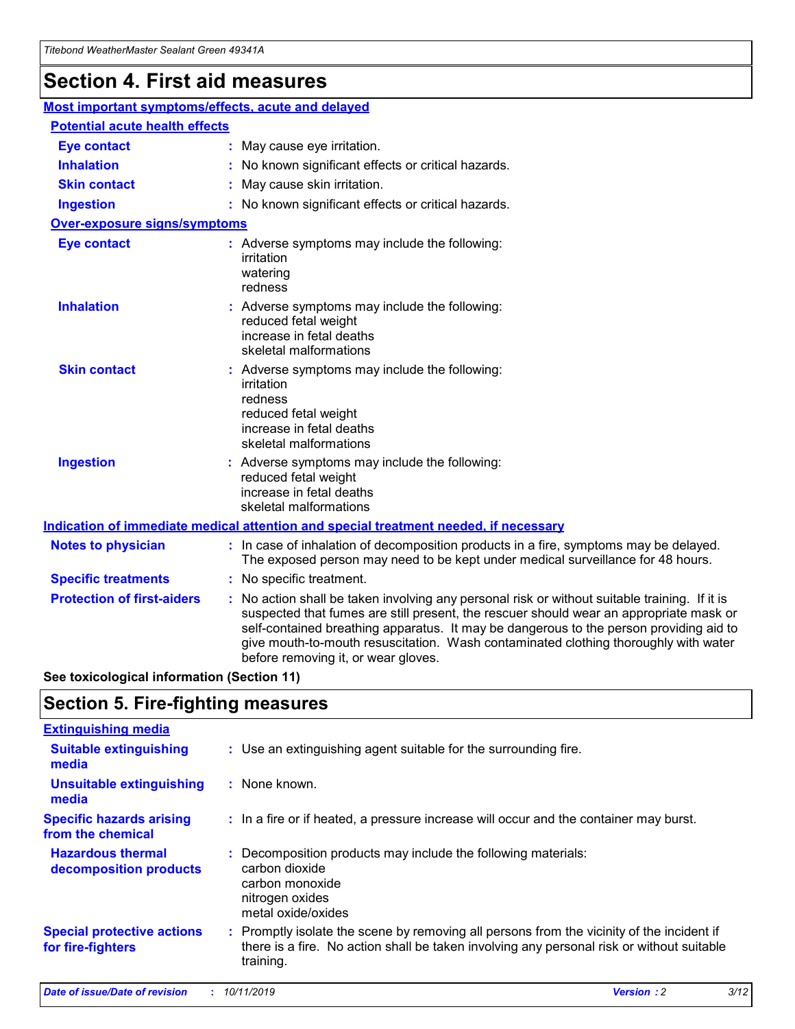## **Section 4. First aid measures**

| Most important symptoms/effects, acute and delayed |                                       |                                                                                                                                                                                                                                                                                                                                                                                                                 |  |  |  |
|----------------------------------------------------|---------------------------------------|-----------------------------------------------------------------------------------------------------------------------------------------------------------------------------------------------------------------------------------------------------------------------------------------------------------------------------------------------------------------------------------------------------------------|--|--|--|
|                                                    | <b>Potential acute health effects</b> |                                                                                                                                                                                                                                                                                                                                                                                                                 |  |  |  |
| <b>Eye contact</b>                                 |                                       | : May cause eye irritation.                                                                                                                                                                                                                                                                                                                                                                                     |  |  |  |
| <b>Inhalation</b>                                  |                                       | : No known significant effects or critical hazards.                                                                                                                                                                                                                                                                                                                                                             |  |  |  |
| <b>Skin contact</b>                                |                                       | : May cause skin irritation.                                                                                                                                                                                                                                                                                                                                                                                    |  |  |  |
| <b>Ingestion</b>                                   |                                       | : No known significant effects or critical hazards.                                                                                                                                                                                                                                                                                                                                                             |  |  |  |
| <b>Over-exposure signs/symptoms</b>                |                                       |                                                                                                                                                                                                                                                                                                                                                                                                                 |  |  |  |
| <b>Eye contact</b>                                 |                                       | : Adverse symptoms may include the following:<br>irritation<br>watering<br>redness                                                                                                                                                                                                                                                                                                                              |  |  |  |
| <b>Inhalation</b>                                  |                                       | : Adverse symptoms may include the following:<br>reduced fetal weight<br>increase in fetal deaths<br>skeletal malformations                                                                                                                                                                                                                                                                                     |  |  |  |
| <b>Skin contact</b>                                |                                       | : Adverse symptoms may include the following:<br>irritation<br>redness<br>reduced fetal weight<br>increase in fetal deaths<br>skeletal malformations                                                                                                                                                                                                                                                            |  |  |  |
| <b>Ingestion</b>                                   |                                       | : Adverse symptoms may include the following:<br>reduced fetal weight<br>increase in fetal deaths<br>skeletal malformations                                                                                                                                                                                                                                                                                     |  |  |  |
|                                                    |                                       | <b>Indication of immediate medical attention and special treatment needed, if necessary</b>                                                                                                                                                                                                                                                                                                                     |  |  |  |
| <b>Notes to physician</b>                          |                                       | : In case of inhalation of decomposition products in a fire, symptoms may be delayed.<br>The exposed person may need to be kept under medical surveillance for 48 hours.                                                                                                                                                                                                                                        |  |  |  |
| <b>Specific treatments</b>                         |                                       | : No specific treatment.                                                                                                                                                                                                                                                                                                                                                                                        |  |  |  |
| <b>Protection of first-aiders</b>                  |                                       | : No action shall be taken involving any personal risk or without suitable training. If it is<br>suspected that fumes are still present, the rescuer should wear an appropriate mask or<br>self-contained breathing apparatus. It may be dangerous to the person providing aid to<br>give mouth-to-mouth resuscitation. Wash contaminated clothing thoroughly with water<br>before removing it, or wear gloves. |  |  |  |

**See toxicological information (Section 11)**

### **Section 5. Fire-fighting measures**

| <b>Extinguishing media</b>                             |                                                                                                                                                                                                     |
|--------------------------------------------------------|-----------------------------------------------------------------------------------------------------------------------------------------------------------------------------------------------------|
| <b>Suitable extinguishing</b><br>media                 | : Use an extinguishing agent suitable for the surrounding fire.                                                                                                                                     |
| <b>Unsuitable extinguishing</b><br>media               | : None known.                                                                                                                                                                                       |
| <b>Specific hazards arising</b><br>from the chemical   | : In a fire or if heated, a pressure increase will occur and the container may burst.                                                                                                               |
| <b>Hazardous thermal</b><br>decomposition products     | : Decomposition products may include the following materials:<br>carbon dioxide<br>carbon monoxide<br>nitrogen oxides<br>metal oxide/oxides                                                         |
| <b>Special protective actions</b><br>for fire-fighters | : Promptly isolate the scene by removing all persons from the vicinity of the incident if<br>there is a fire. No action shall be taken involving any personal risk or without suitable<br>training. |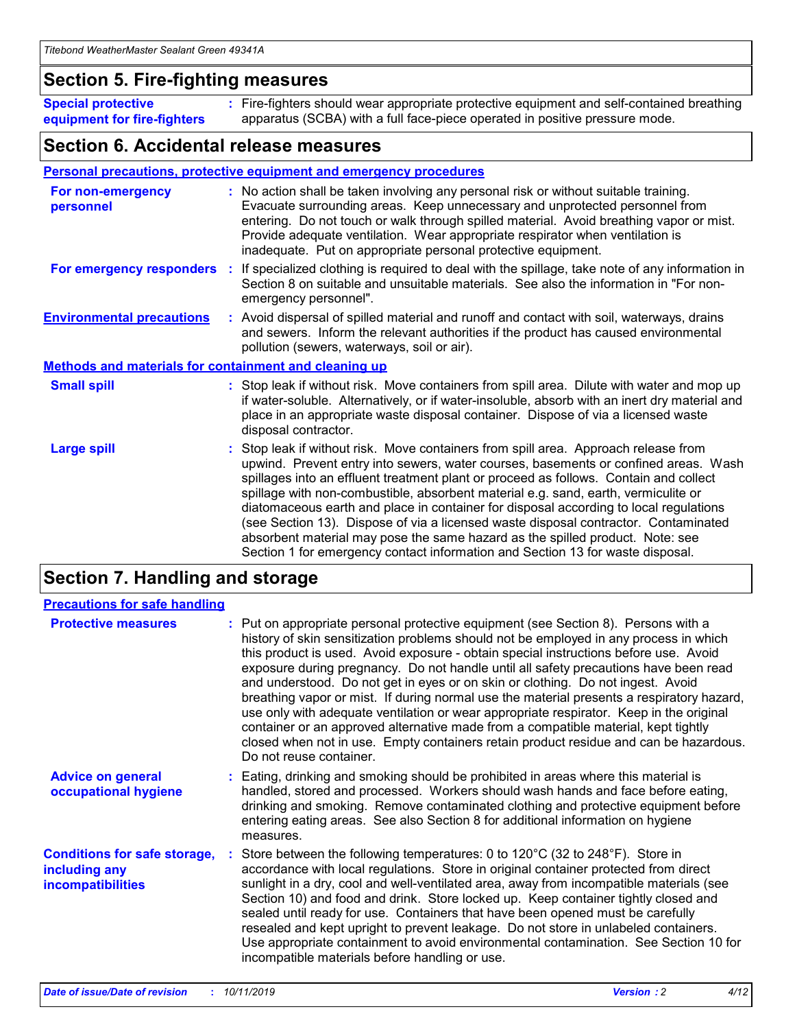#### **Section 5. Fire-fighting measures**

**Special protective equipment for fire-fighters** Fire-fighters should wear appropriate protective equipment and self-contained breathing **:** apparatus (SCBA) with a full face-piece operated in positive pressure mode.

#### **Section 6. Accidental release measures**

#### **Personal precautions, protective equipment and emergency procedures**

| For non-emergency<br>personnel                               | : No action shall be taken involving any personal risk or without suitable training.<br>Evacuate surrounding areas. Keep unnecessary and unprotected personnel from<br>entering. Do not touch or walk through spilled material. Avoid breathing vapor or mist.<br>Provide adequate ventilation. Wear appropriate respirator when ventilation is<br>inadequate. Put on appropriate personal protective equipment.                                                                                                                                                                                                                                                                                             |
|--------------------------------------------------------------|--------------------------------------------------------------------------------------------------------------------------------------------------------------------------------------------------------------------------------------------------------------------------------------------------------------------------------------------------------------------------------------------------------------------------------------------------------------------------------------------------------------------------------------------------------------------------------------------------------------------------------------------------------------------------------------------------------------|
|                                                              | For emergency responders : If specialized clothing is required to deal with the spillage, take note of any information in<br>Section 8 on suitable and unsuitable materials. See also the information in "For non-<br>emergency personnel".                                                                                                                                                                                                                                                                                                                                                                                                                                                                  |
| <b>Environmental precautions</b>                             | : Avoid dispersal of spilled material and runoff and contact with soil, waterways, drains<br>and sewers. Inform the relevant authorities if the product has caused environmental<br>pollution (sewers, waterways, soil or air).                                                                                                                                                                                                                                                                                                                                                                                                                                                                              |
| <b>Methods and materials for containment and cleaning up</b> |                                                                                                                                                                                                                                                                                                                                                                                                                                                                                                                                                                                                                                                                                                              |
| <b>Small spill</b>                                           | : Stop leak if without risk. Move containers from spill area. Dilute with water and mop up<br>if water-soluble. Alternatively, or if water-insoluble, absorb with an inert dry material and<br>place in an appropriate waste disposal container. Dispose of via a licensed waste<br>disposal contractor.                                                                                                                                                                                                                                                                                                                                                                                                     |
| <b>Large spill</b>                                           | : Stop leak if without risk. Move containers from spill area. Approach release from<br>upwind. Prevent entry into sewers, water courses, basements or confined areas. Wash<br>spillages into an effluent treatment plant or proceed as follows. Contain and collect<br>spillage with non-combustible, absorbent material e.g. sand, earth, vermiculite or<br>diatomaceous earth and place in container for disposal according to local regulations<br>(see Section 13). Dispose of via a licensed waste disposal contractor. Contaminated<br>absorbent material may pose the same hazard as the spilled product. Note: see<br>Section 1 for emergency contact information and Section 13 for waste disposal. |

## **Section 7. Handling and storage**

| <b>Precautions for safe handling</b>                                             |                                                                                                                                                                                                                                                                                                                                                                                                                                                                                                                                                                                                                                                                                                                                                                                                                                                  |
|----------------------------------------------------------------------------------|--------------------------------------------------------------------------------------------------------------------------------------------------------------------------------------------------------------------------------------------------------------------------------------------------------------------------------------------------------------------------------------------------------------------------------------------------------------------------------------------------------------------------------------------------------------------------------------------------------------------------------------------------------------------------------------------------------------------------------------------------------------------------------------------------------------------------------------------------|
| <b>Protective measures</b>                                                       | : Put on appropriate personal protective equipment (see Section 8). Persons with a<br>history of skin sensitization problems should not be employed in any process in which<br>this product is used. Avoid exposure - obtain special instructions before use. Avoid<br>exposure during pregnancy. Do not handle until all safety precautions have been read<br>and understood. Do not get in eyes or on skin or clothing. Do not ingest. Avoid<br>breathing vapor or mist. If during normal use the material presents a respiratory hazard,<br>use only with adequate ventilation or wear appropriate respirator. Keep in the original<br>container or an approved alternative made from a compatible material, kept tightly<br>closed when not in use. Empty containers retain product residue and can be hazardous.<br>Do not reuse container. |
| <b>Advice on general</b><br>occupational hygiene                                 | : Eating, drinking and smoking should be prohibited in areas where this material is<br>handled, stored and processed. Workers should wash hands and face before eating,<br>drinking and smoking. Remove contaminated clothing and protective equipment before<br>entering eating areas. See also Section 8 for additional information on hygiene<br>measures.                                                                                                                                                                                                                                                                                                                                                                                                                                                                                    |
| <b>Conditions for safe storage,</b><br>including any<br><b>incompatibilities</b> | : Store between the following temperatures: 0 to 120 $\degree$ C (32 to 248 $\degree$ F). Store in<br>accordance with local regulations. Store in original container protected from direct<br>sunlight in a dry, cool and well-ventilated area, away from incompatible materials (see<br>Section 10) and food and drink. Store locked up. Keep container tightly closed and<br>sealed until ready for use. Containers that have been opened must be carefully<br>resealed and kept upright to prevent leakage. Do not store in unlabeled containers.<br>Use appropriate containment to avoid environmental contamination. See Section 10 for<br>incompatible materials before handling or use.                                                                                                                                                   |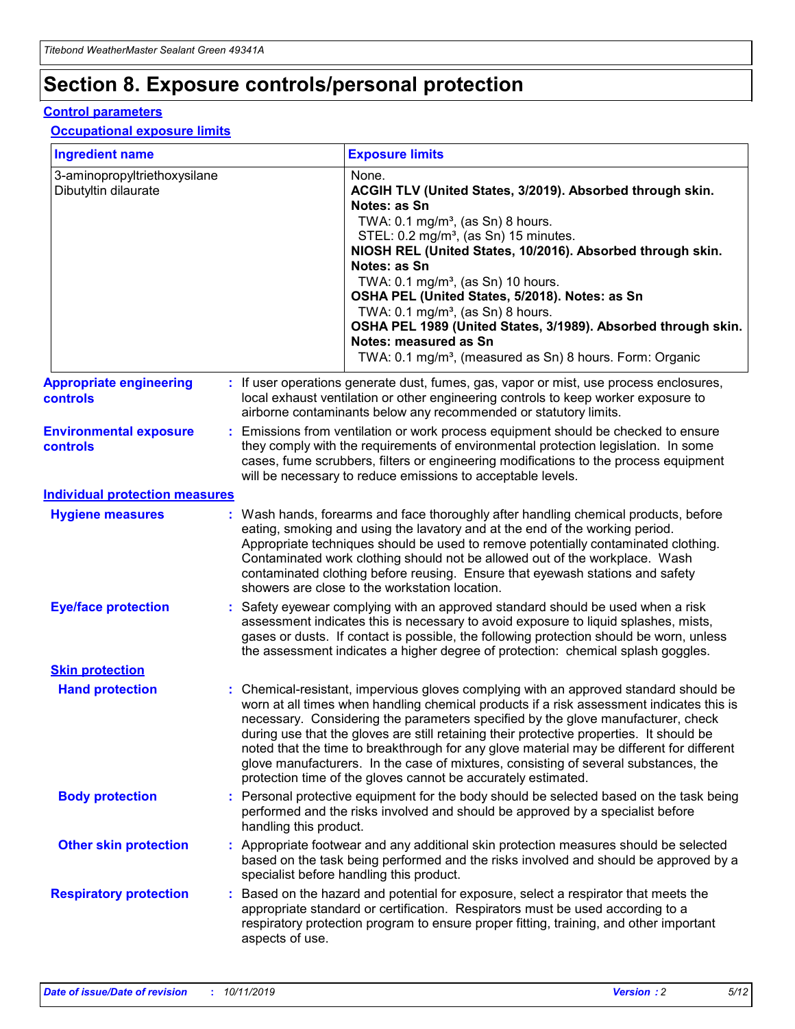## **Section 8. Exposure controls/personal protection**

#### **Control parameters**

#### **Occupational exposure limits**

| <b>Ingredient name</b>                               |    |                                          | <b>Exposure limits</b>                                                                                                                                                                                                                                                                                                                                                                                                                                                                                                                                                                                                 |
|------------------------------------------------------|----|------------------------------------------|------------------------------------------------------------------------------------------------------------------------------------------------------------------------------------------------------------------------------------------------------------------------------------------------------------------------------------------------------------------------------------------------------------------------------------------------------------------------------------------------------------------------------------------------------------------------------------------------------------------------|
| 3-aminopropyltriethoxysilane<br>Dibutyltin dilaurate |    |                                          | None.<br>ACGIH TLV (United States, 3/2019). Absorbed through skin.<br>Notes: as Sn<br>TWA: 0.1 mg/m <sup>3</sup> , (as Sn) 8 hours.<br>STEL: 0.2 mg/m <sup>3</sup> , (as Sn) 15 minutes.<br>NIOSH REL (United States, 10/2016). Absorbed through skin.<br>Notes: as Sn<br>TWA: 0.1 mg/m <sup>3</sup> , (as Sn) 10 hours.<br>OSHA PEL (United States, 5/2018). Notes: as Sn<br>TWA: $0.1 \text{ mg/m}^3$ , (as Sn) 8 hours.<br>OSHA PEL 1989 (United States, 3/1989). Absorbed through skin.<br>Notes: measured as Sn<br>TWA: 0.1 mg/m <sup>3</sup> , (measured as Sn) 8 hours. Form: Organic                           |
| <b>Appropriate engineering</b><br>controls           |    |                                          | : If user operations generate dust, fumes, gas, vapor or mist, use process enclosures,<br>local exhaust ventilation or other engineering controls to keep worker exposure to<br>airborne contaminants below any recommended or statutory limits.                                                                                                                                                                                                                                                                                                                                                                       |
| <b>Environmental exposure</b><br><b>controls</b>     |    |                                          | Emissions from ventilation or work process equipment should be checked to ensure<br>they comply with the requirements of environmental protection legislation. In some<br>cases, fume scrubbers, filters or engineering modifications to the process equipment<br>will be necessary to reduce emissions to acceptable levels.                                                                                                                                                                                                                                                                                          |
| <b>Individual protection measures</b>                |    |                                          |                                                                                                                                                                                                                                                                                                                                                                                                                                                                                                                                                                                                                        |
| <b>Hygiene measures</b>                              |    |                                          | : Wash hands, forearms and face thoroughly after handling chemical products, before<br>eating, smoking and using the lavatory and at the end of the working period.<br>Appropriate techniques should be used to remove potentially contaminated clothing.<br>Contaminated work clothing should not be allowed out of the workplace. Wash<br>contaminated clothing before reusing. Ensure that eyewash stations and safety<br>showers are close to the workstation location.                                                                                                                                            |
| <b>Eye/face protection</b>                           |    |                                          | : Safety eyewear complying with an approved standard should be used when a risk<br>assessment indicates this is necessary to avoid exposure to liquid splashes, mists,<br>gases or dusts. If contact is possible, the following protection should be worn, unless<br>the assessment indicates a higher degree of protection: chemical splash goggles.                                                                                                                                                                                                                                                                  |
| <b>Skin protection</b>                               |    |                                          |                                                                                                                                                                                                                                                                                                                                                                                                                                                                                                                                                                                                                        |
| <b>Hand protection</b>                               |    |                                          | : Chemical-resistant, impervious gloves complying with an approved standard should be<br>worn at all times when handling chemical products if a risk assessment indicates this is<br>necessary. Considering the parameters specified by the glove manufacturer, check<br>during use that the gloves are still retaining their protective properties. It should be<br>noted that the time to breakthrough for any glove material may be different for different<br>glove manufacturers. In the case of mixtures, consisting of several substances, the<br>protection time of the gloves cannot be accurately estimated. |
| <b>Body protection</b>                               |    | handling this product.                   | Personal protective equipment for the body should be selected based on the task being<br>performed and the risks involved and should be approved by a specialist before                                                                                                                                                                                                                                                                                                                                                                                                                                                |
| <b>Other skin protection</b>                         |    | specialist before handling this product. | : Appropriate footwear and any additional skin protection measures should be selected<br>based on the task being performed and the risks involved and should be approved by a                                                                                                                                                                                                                                                                                                                                                                                                                                          |
| <b>Respiratory protection</b>                        | ÷. | aspects of use.                          | Based on the hazard and potential for exposure, select a respirator that meets the<br>appropriate standard or certification. Respirators must be used according to a<br>respiratory protection program to ensure proper fitting, training, and other important                                                                                                                                                                                                                                                                                                                                                         |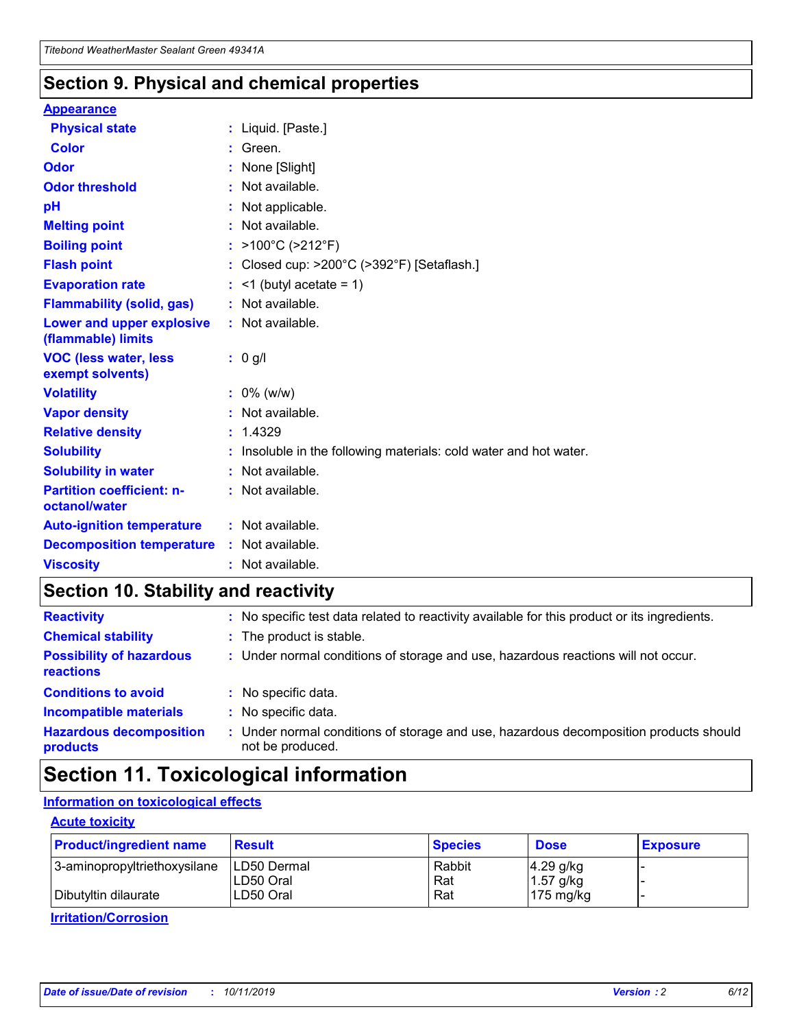### **Section 9. Physical and chemical properties**

#### **Appearance**

| <b>Physical state</b>                             | : Liquid. [Paste.]                                              |
|---------------------------------------------------|-----------------------------------------------------------------|
| Color                                             | Green.                                                          |
| Odor                                              | : None [Slight]                                                 |
| <b>Odor threshold</b>                             | : Not available.                                                |
| рH                                                | : Not applicable.                                               |
| <b>Melting point</b>                              | : Not available.                                                |
| <b>Boiling point</b>                              | : >100°C (>212°F)                                               |
| <b>Flash point</b>                                | : Closed cup: $>200^{\circ}$ C ( $>392^{\circ}$ F) [Setaflash.] |
| <b>Evaporation rate</b>                           | $:$ <1 (butyl acetate = 1)                                      |
| <b>Flammability (solid, gas)</b>                  | : Not available.                                                |
| Lower and upper explosive<br>(flammable) limits   | : Not available.                                                |
| <b>VOC (less water, less</b><br>exempt solvents)  | : 0 g/l                                                         |
| <b>Volatility</b>                                 | $: 0\%$ (w/w)                                                   |
| <b>Vapor density</b>                              | : Not available.                                                |
| <b>Relative density</b>                           | : 1.4329                                                        |
| <b>Solubility</b>                                 | Insoluble in the following materials: cold water and hot water. |
| <b>Solubility in water</b>                        | : Not available.                                                |
| <b>Partition coefficient: n-</b><br>octanol/water | $:$ Not available.                                              |
| <b>Auto-ignition temperature</b>                  | : Not available.                                                |
| <b>Decomposition temperature</b>                  | : Not available.                                                |
|                                                   |                                                                 |

## **Section 10. Stability and reactivity**

| <b>Reactivity</b>                            |    | : No specific test data related to reactivity available for this product or its ingredients.            |
|----------------------------------------------|----|---------------------------------------------------------------------------------------------------------|
| <b>Chemical stability</b>                    |    | : The product is stable.                                                                                |
| <b>Possibility of hazardous</b><br>reactions |    | : Under normal conditions of storage and use, hazardous reactions will not occur.                       |
| <b>Conditions to avoid</b>                   |    | : No specific data.                                                                                     |
| <b>Incompatible materials</b>                | ٠. | No specific data.                                                                                       |
| <b>Hazardous decomposition</b><br>products   | ÷. | Under normal conditions of storage and use, hazardous decomposition products should<br>not be produced. |

## **Section 11. Toxicological information**

#### **Information on toxicological effects**

#### **Acute toxicity**

| <b>Product/ingredient name</b> | <b>Result</b>           | <b>Species</b> | <b>Dose</b>                | <b>Exposure</b> |
|--------------------------------|-------------------------|----------------|----------------------------|-----------------|
| 3-aminopropyltriethoxysilane   | <b>ILD50 Dermal</b>     | Rabbit         | 4.29 g/kg                  |                 |
| Dibutyltin dilaurate           | ILD50 Oral<br>LD50 Oral | Rat<br>Rat     | $1.57$ g/kg<br>175 $mg/kg$ |                 |
|                                |                         |                |                            |                 |

**Irritation/Corrosion**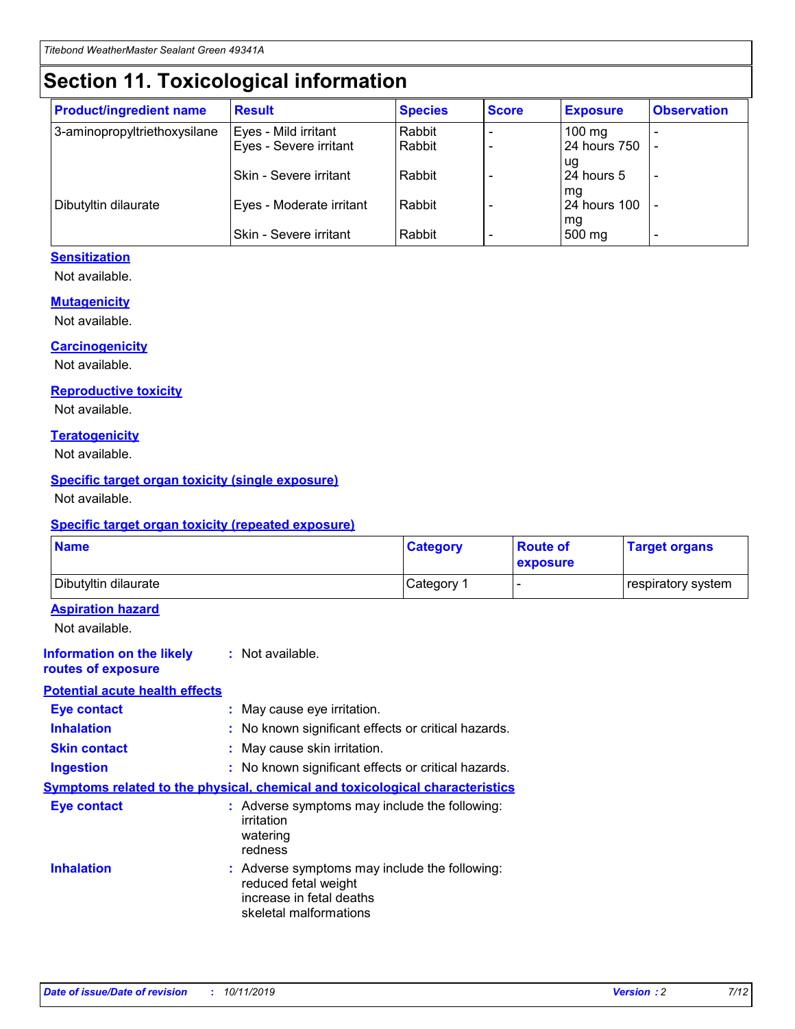## **Section 11. Toxicological information**

| <b>Product/ingredient name</b> | <b>Result</b>            | <b>Species</b> | <b>Score</b> | <b>Exposure</b>           | <b>Observation</b> |
|--------------------------------|--------------------------|----------------|--------------|---------------------------|--------------------|
| 3-aminopropyltriethoxysilane   | Eyes - Mild irritant     | Rabbit         |              | $100$ mg                  |                    |
|                                | Eyes - Severe irritant   | Rabbit         |              | 24 hours 750              |                    |
|                                |                          |                |              | ug                        |                    |
|                                | Skin - Severe irritant   | Rabbit         |              | 24 hours 5                | -                  |
| Dibutyltin dilaurate           | Eyes - Moderate irritant | Rabbit         |              | mq<br><b>24 hours 100</b> |                    |
|                                |                          |                |              | mg                        |                    |
|                                | Skin - Severe irritant   | Rabbit         |              | 500 mg                    |                    |

#### **Sensitization**

Not available.

#### **Mutagenicity**

Not available.

#### **Carcinogenicity**

Not available.

#### **Reproductive toxicity**

Not available.

#### **Teratogenicity**

Not available.

#### **Specific target organ toxicity (single exposure)**

Not available.

#### **Specific target organ toxicity (repeated exposure)**

| <b>Name</b>                                                                  |                                                                            | <b>Category</b>                                     | <b>Route of</b><br>exposure | <b>Target organs</b> |
|------------------------------------------------------------------------------|----------------------------------------------------------------------------|-----------------------------------------------------|-----------------------------|----------------------|
| Dibutyltin dilaurate                                                         |                                                                            | Category 1                                          | -                           | respiratory system   |
| <b>Aspiration hazard</b><br>Not available.                                   |                                                                            |                                                     |                             |                      |
| <b>Information on the likely</b><br>routes of exposure                       | : Not available.                                                           |                                                     |                             |                      |
| <b>Potential acute health effects</b>                                        |                                                                            |                                                     |                             |                      |
| <b>Eye contact</b>                                                           | : May cause eye irritation.                                                |                                                     |                             |                      |
| <b>Inhalation</b>                                                            |                                                                            | : No known significant effects or critical hazards. |                             |                      |
| <b>Skin contact</b>                                                          | : May cause skin irritation.                                               |                                                     |                             |                      |
| <b>Ingestion</b>                                                             |                                                                            | : No known significant effects or critical hazards. |                             |                      |
| Symptoms related to the physical, chemical and toxicological characteristics |                                                                            |                                                     |                             |                      |
| <b>Eye contact</b>                                                           | irritation<br>watering<br>redness                                          | : Adverse symptoms may include the following:       |                             |                      |
| <b>Inhalation</b>                                                            | reduced fetal weight<br>increase in fetal deaths<br>skeletal malformations | : Adverse symptoms may include the following:       |                             |                      |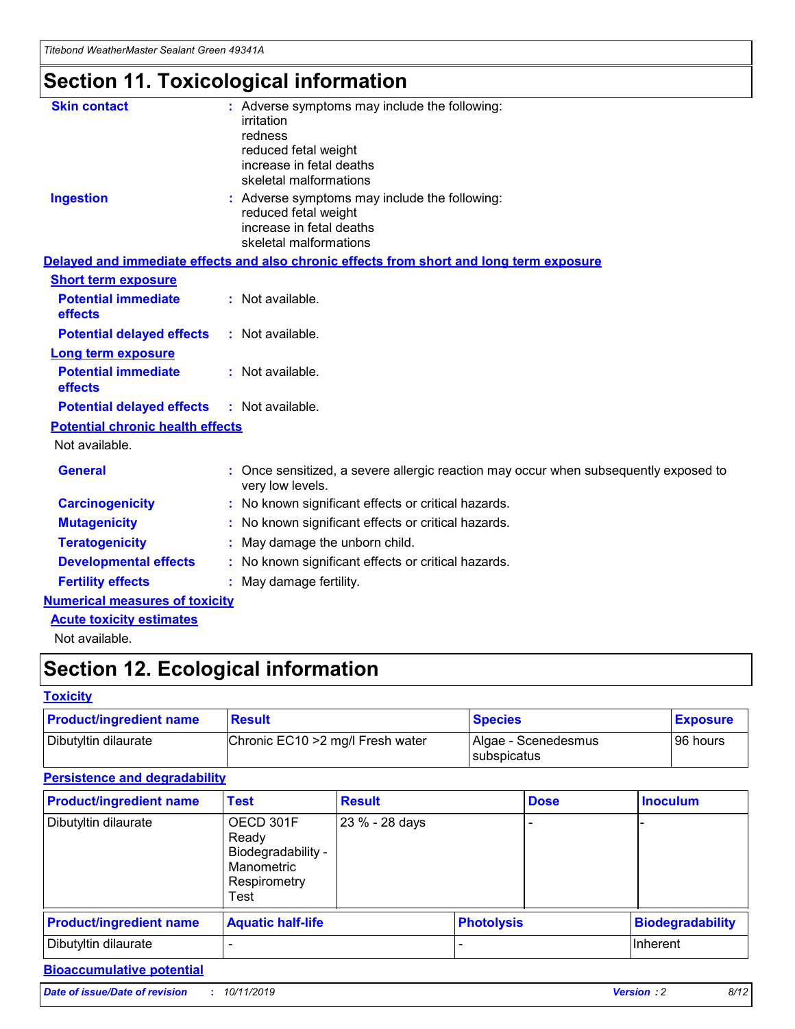## **Section 11. Toxicological information**

| <b>Skin contact</b>                     | : Adverse symptoms may include the following:<br>irritation<br>redness<br>reduced fetal weight<br>increase in fetal deaths<br>skeletal malformations |
|-----------------------------------------|------------------------------------------------------------------------------------------------------------------------------------------------------|
| <b>Ingestion</b>                        | : Adverse symptoms may include the following:<br>reduced fetal weight<br>increase in fetal deaths<br>skeletal malformations                          |
|                                         | Delayed and immediate effects and also chronic effects from short and long term exposure                                                             |
| <b>Short term exposure</b>              |                                                                                                                                                      |
| <b>Potential immediate</b><br>effects   | : Not available.                                                                                                                                     |
| <b>Potential delayed effects</b>        | : Not available.                                                                                                                                     |
| <b>Long term exposure</b>               |                                                                                                                                                      |
| <b>Potential immediate</b><br>effects   | : Not available.                                                                                                                                     |
| <b>Potential delayed effects</b>        | : Not available.                                                                                                                                     |
| <b>Potential chronic health effects</b> |                                                                                                                                                      |
| Not available.                          |                                                                                                                                                      |
| <b>General</b>                          | : Once sensitized, a severe allergic reaction may occur when subsequently exposed to<br>very low levels.                                             |
| <b>Carcinogenicity</b>                  | : No known significant effects or critical hazards.                                                                                                  |
| <b>Mutagenicity</b>                     | No known significant effects or critical hazards.                                                                                                    |
| <b>Teratogenicity</b>                   | May damage the unborn child.                                                                                                                         |
| <b>Developmental effects</b>            | : No known significant effects or critical hazards.                                                                                                  |
| <b>Fertility effects</b>                | : May damage fertility.                                                                                                                              |
| <b>Numerical measures of toxicity</b>   |                                                                                                                                                      |
| <b>Acute toxicity estimates</b>         |                                                                                                                                                      |
| .                                       |                                                                                                                                                      |

Not available.

## **Section 12. Ecological information**

#### **Toxicity**

| <b>Product/ingredient name</b> | <b>Result</b>                     | <b>Species</b>                       | <b>Exposure</b> |
|--------------------------------|-----------------------------------|--------------------------------------|-----------------|
| Dibutyltin dilaurate           | Chronic EC10 > 2 mg/l Fresh water | Algae - Scenedesmus<br>I subspicatus | l 96 hours i    |

#### **Persistence and degradability**

| <b>Product/ingredient name</b> | <b>Test</b>                                                                    | <b>Result</b>  |  | <b>Dose</b>       | <b>Inoculum</b>         |
|--------------------------------|--------------------------------------------------------------------------------|----------------|--|-------------------|-------------------------|
| Dibutyltin dilaurate           | OECD 301F<br>Ready<br>Biodegradability -<br>Manometric<br>Respirometry<br>Test | 23 % - 28 days |  |                   |                         |
| <b>Product/ingredient name</b> | <b>Aquatic half-life</b>                                                       |                |  | <b>Photolysis</b> | <b>Biodegradability</b> |
| Dibutyltin dilaurate           |                                                                                |                |  |                   | Inherent                |

#### **Bioaccumulative potential**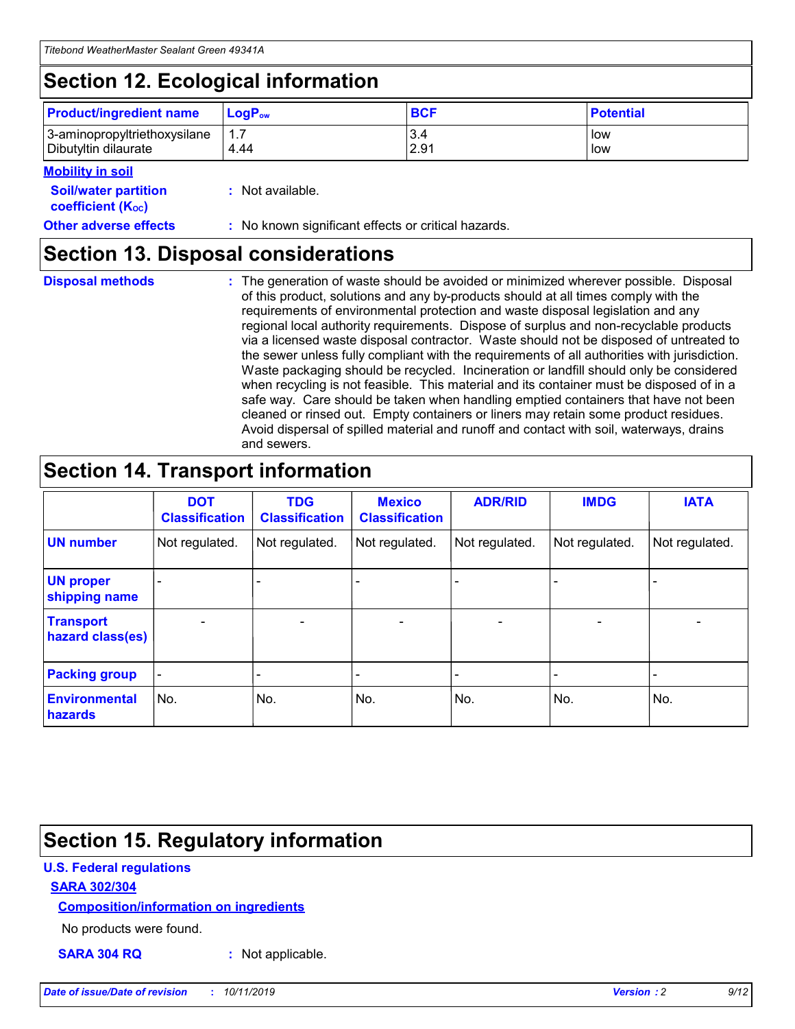## **Section 12. Ecological information**

| <b>Product/ingredient name</b> | $LoaPow$ | <b>BCF</b> | <b>Potential</b> |
|--------------------------------|----------|------------|------------------|
| 3-aminopropyltriethoxysilane   | 1.7      | 3.4        | low              |
| Dibutyltin dilaurate           | 4.44     | 2.91       | low              |

#### **Mobility in soil**

| <b>Soil/water partition</b><br>coefficient (K <sub>oc</sub> ) | : Not available.                                    |
|---------------------------------------------------------------|-----------------------------------------------------|
| <b>Other adverse effects</b>                                  | : No known significant effects or critical hazards. |

### **Section 13. Disposal considerations**

**Disposal methods :**

The generation of waste should be avoided or minimized wherever possible. Disposal of this product, solutions and any by-products should at all times comply with the requirements of environmental protection and waste disposal legislation and any regional local authority requirements. Dispose of surplus and non-recyclable products via a licensed waste disposal contractor. Waste should not be disposed of untreated to the sewer unless fully compliant with the requirements of all authorities with jurisdiction. Waste packaging should be recycled. Incineration or landfill should only be considered when recycling is not feasible. This material and its container must be disposed of in a safe way. Care should be taken when handling emptied containers that have not been cleaned or rinsed out. Empty containers or liners may retain some product residues. Avoid dispersal of spilled material and runoff and contact with soil, waterways, drains and sewers.

## **Section 14. Transport information**

|                                      | <b>DOT</b><br><b>Classification</b> | <b>TDG</b><br><b>Classification</b> | <b>Mexico</b><br><b>Classification</b> | <b>ADR/RID</b> | <b>IMDG</b>              | <b>IATA</b>              |
|--------------------------------------|-------------------------------------|-------------------------------------|----------------------------------------|----------------|--------------------------|--------------------------|
| <b>UN number</b>                     | Not regulated.                      | Not regulated.                      | Not regulated.                         | Not regulated. | Not regulated.           | Not regulated.           |
| <b>UN proper</b><br>shipping name    | $\blacksquare$                      |                                     |                                        |                |                          |                          |
| <b>Transport</b><br>hazard class(es) | $\blacksquare$                      | $\overline{\phantom{a}}$            | $\blacksquare$                         | $\blacksquare$ | $\overline{\phantom{a}}$ | $\overline{\phantom{0}}$ |
| <b>Packing group</b>                 | $\overline{\phantom{a}}$            | $\overline{\phantom{0}}$            | $\overline{\phantom{a}}$               | -              | $\overline{\phantom{0}}$ | $\overline{\phantom{a}}$ |
| <b>Environmental</b><br>hazards      | No.                                 | No.                                 | No.                                    | No.            | No.                      | No.                      |

## **Section 15. Regulatory information**

#### **U.S. Federal regulations**

#### **SARA 302/304**

#### **Composition/information on ingredients**

No products were found.

**SARA 304 RQ :** Not applicable.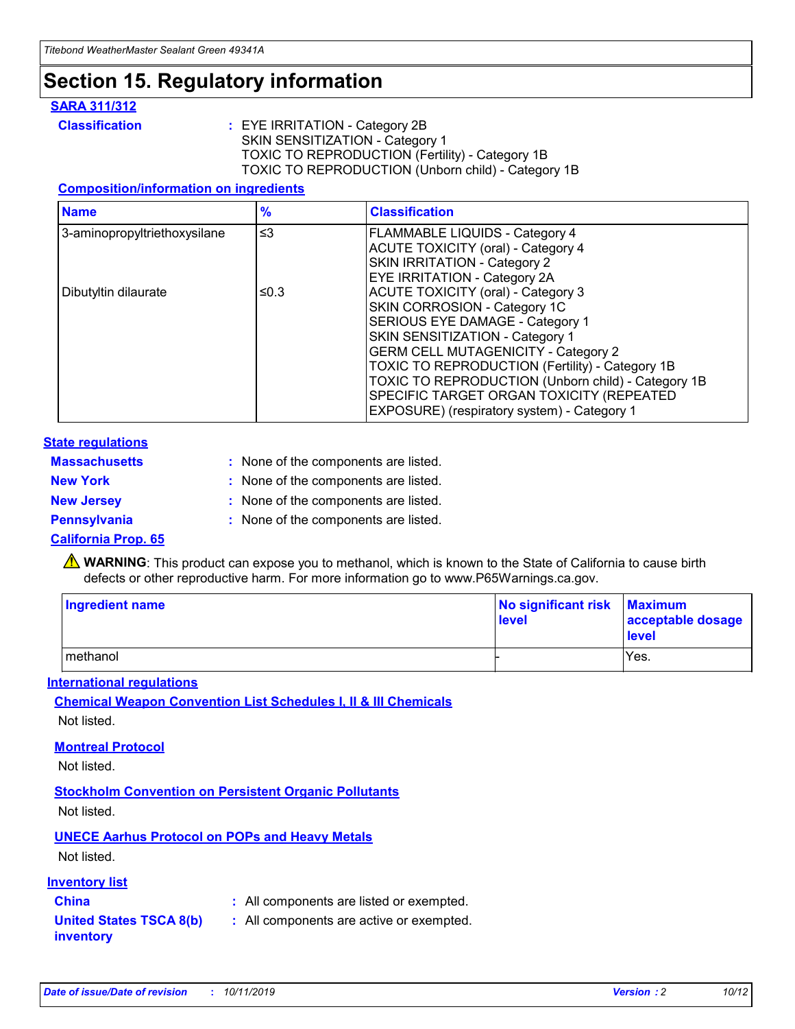## **Section 15. Regulatory information**

#### **SARA 311/312**

**Classification :** EYE IRRITATION - Category 2B SKIN SENSITIZATION - Category 1 TOXIC TO REPRODUCTION (Fertility) - Category 1B TOXIC TO REPRODUCTION (Unborn child) - Category 1B

#### **Composition/information on ingredients**

| <b>Name</b>                              | $\frac{9}{6}$ | <b>Classification</b>                                                                                            |
|------------------------------------------|---------------|------------------------------------------------------------------------------------------------------------------|
| $\leq$ 3<br>3-aminopropyltriethoxysilane |               | <b>FLAMMABLE LIQUIDS - Category 4</b><br><b>ACUTE TOXICITY (oral) - Category 4</b>                               |
|                                          |               | SKIN IRRITATION - Category 2<br>EYE IRRITATION - Category 2A                                                     |
| Dibutyltin dilaurate                     | ≤0.3          | ACUTE TOXICITY (oral) - Category 3<br>SKIN CORROSION - Category 1C                                               |
|                                          |               | SERIOUS EYE DAMAGE - Category 1<br>SKIN SENSITIZATION - Category 1<br><b>GERM CELL MUTAGENICITY - Category 2</b> |
|                                          |               | TOXIC TO REPRODUCTION (Fertility) - Category 1B<br>TOXIC TO REPRODUCTION (Unborn child) - Category 1B            |
|                                          |               | SPECIFIC TARGET ORGAN TOXICITY (REPEATED<br>EXPOSURE) (respiratory system) - Category 1                          |

#### **State regulations**

| <b>Massachusetts</b> | : None of the components are listed. |
|----------------------|--------------------------------------|
| <b>New York</b>      | : None of the components are listed. |
| <b>New Jersey</b>    | : None of the components are listed. |
| <b>Pennsylvania</b>  | : None of the components are listed. |

#### **California Prop. 65**

**A** WARNING: This product can expose you to methanol, which is known to the State of California to cause birth defects or other reproductive harm. For more information go to www.P65Warnings.ca.gov.

| <b>Ingredient name</b> | No significant risk Maximum<br>level | acceptable dosage<br>level |
|------------------------|--------------------------------------|----------------------------|
| methanol               |                                      | Yes.                       |

#### **International regulations**

**Chemical Weapon Convention List Schedules I, II & III Chemicals** Not listed.

#### **Montreal Protocol**

Not listed.

#### **Stockholm Convention on Persistent Organic Pollutants**

Not listed.

#### **UNECE Aarhus Protocol on POPs and Heavy Metals**

Not listed.

#### **Inventory list**

### **China :** All components are listed or exempted.

**United States TSCA 8(b) inventory :** All components are active or exempted.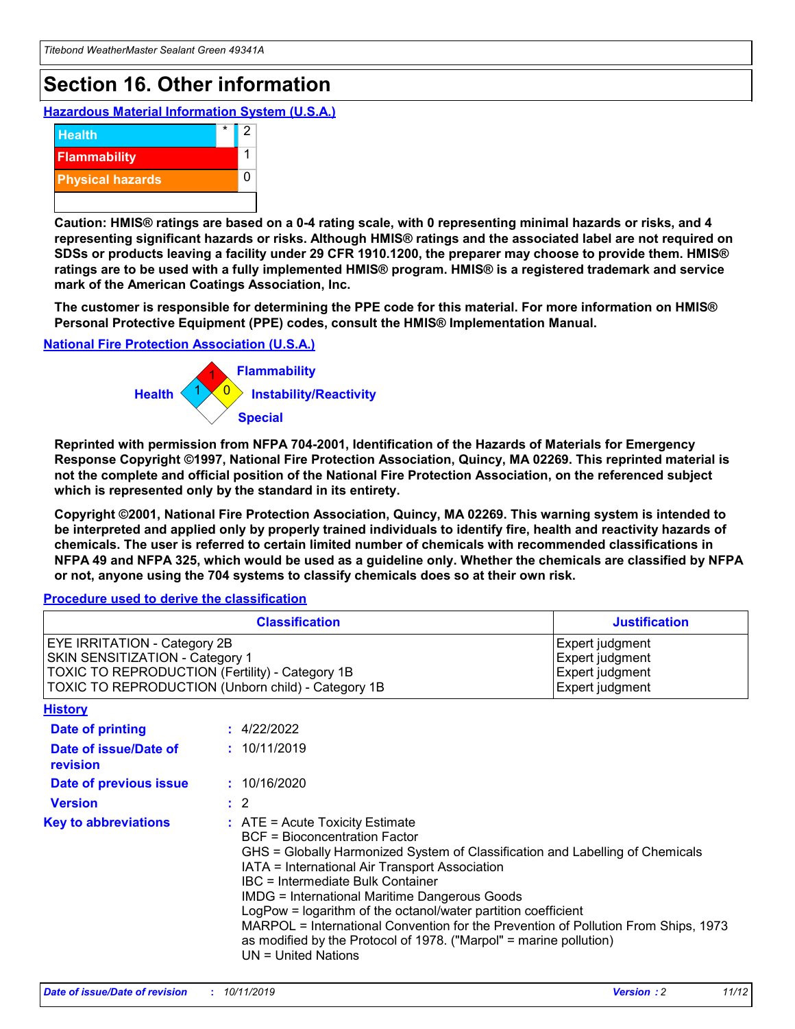## **Section 16. Other information**

**Hazardous Material Information System (U.S.A.)**



**Caution: HMIS® ratings are based on a 0-4 rating scale, with 0 representing minimal hazards or risks, and 4 representing significant hazards or risks. Although HMIS® ratings and the associated label are not required on SDSs or products leaving a facility under 29 CFR 1910.1200, the preparer may choose to provide them. HMIS® ratings are to be used with a fully implemented HMIS® program. HMIS® is a registered trademark and service mark of the American Coatings Association, Inc.**

**The customer is responsible for determining the PPE code for this material. For more information on HMIS® Personal Protective Equipment (PPE) codes, consult the HMIS® Implementation Manual.**

#### **National Fire Protection Association (U.S.A.)**



**Reprinted with permission from NFPA 704-2001, Identification of the Hazards of Materials for Emergency Response Copyright ©1997, National Fire Protection Association, Quincy, MA 02269. This reprinted material is not the complete and official position of the National Fire Protection Association, on the referenced subject which is represented only by the standard in its entirety.**

**Copyright ©2001, National Fire Protection Association, Quincy, MA 02269. This warning system is intended to be interpreted and applied only by properly trained individuals to identify fire, health and reactivity hazards of chemicals. The user is referred to certain limited number of chemicals with recommended classifications in NFPA 49 and NFPA 325, which would be used as a guideline only. Whether the chemicals are classified by NFPA or not, anyone using the 704 systems to classify chemicals does so at their own risk.**

#### **Procedure used to derive the classification**

| <b>Classification</b>                                                                                                                                                    |                                                                                                                                                                                                                                                                                                                                                                                                                                                                                                                                                               | <b>Justification</b>                                                     |
|--------------------------------------------------------------------------------------------------------------------------------------------------------------------------|---------------------------------------------------------------------------------------------------------------------------------------------------------------------------------------------------------------------------------------------------------------------------------------------------------------------------------------------------------------------------------------------------------------------------------------------------------------------------------------------------------------------------------------------------------------|--------------------------------------------------------------------------|
| EYE IRRITATION - Category 2B<br>SKIN SENSITIZATION - Category 1<br>TOXIC TO REPRODUCTION (Fertility) - Category 1B<br>TOXIC TO REPRODUCTION (Unborn child) - Category 1B |                                                                                                                                                                                                                                                                                                                                                                                                                                                                                                                                                               | Expert judgment<br>Expert judgment<br>Expert judgment<br>Expert judgment |
| <b>History</b>                                                                                                                                                           |                                                                                                                                                                                                                                                                                                                                                                                                                                                                                                                                                               |                                                                          |
| <b>Date of printing</b>                                                                                                                                                  | : 4/22/2022                                                                                                                                                                                                                                                                                                                                                                                                                                                                                                                                                   |                                                                          |
| Date of issue/Date of<br>revision                                                                                                                                        | : 10/11/2019                                                                                                                                                                                                                                                                                                                                                                                                                                                                                                                                                  |                                                                          |
| Date of previous issue                                                                                                                                                   | : 10/16/2020                                                                                                                                                                                                                                                                                                                                                                                                                                                                                                                                                  |                                                                          |
| <b>Version</b>                                                                                                                                                           | $\therefore$ 2                                                                                                                                                                                                                                                                                                                                                                                                                                                                                                                                                |                                                                          |
| <b>Key to abbreviations</b>                                                                                                                                              | $:$ ATE = Acute Toxicity Estimate<br><b>BCF</b> = Bioconcentration Factor<br>GHS = Globally Harmonized System of Classification and Labelling of Chemicals<br>IATA = International Air Transport Association<br>IBC = Intermediate Bulk Container<br><b>IMDG = International Maritime Dangerous Goods</b><br>LogPow = logarithm of the octanol/water partition coefficient<br>MARPOL = International Convention for the Prevention of Pollution From Ships, 1973<br>as modified by the Protocol of 1978. ("Marpol" = marine pollution)<br>UN = United Nations |                                                                          |